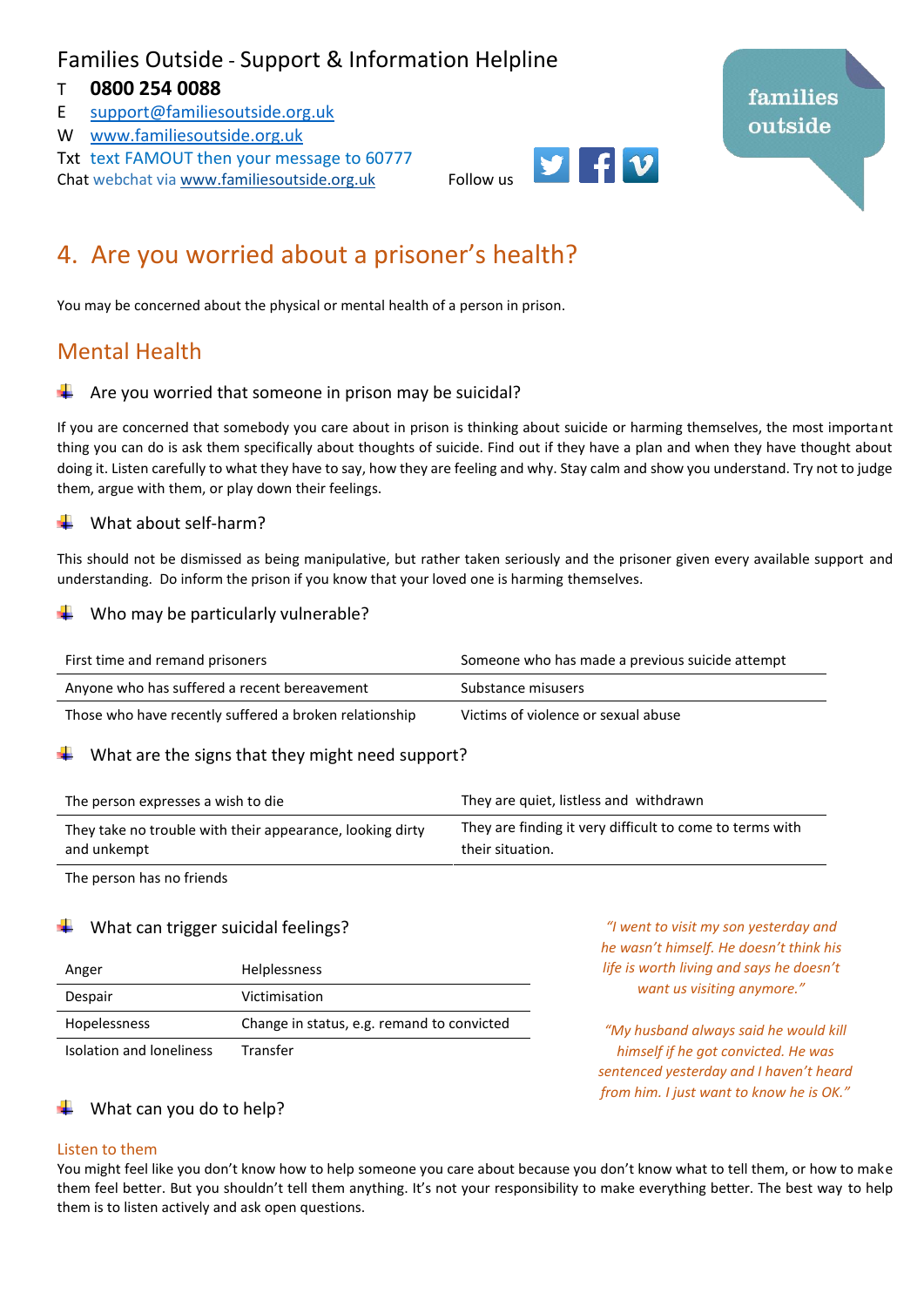## Families Outside - Support & Information Helpline

### T **0800 254 0088**

- E [support@familiesoutside.org.uk](mailto:support@familiesoutside.org.uk)
- W [www.familiesoutside.org.uk](http://www.familiesoutside.org.uk/)

Txt text FAMOUT then your message to 60777 Chat webchat via [www.familiesoutside.org.uk](http://www.familiesoutside.org.uk/) Follow us

# 4. Are you worried about a prisoner's health?

You may be concerned about the physical or mental health of a person in prison.

### Mental Health

#### Are you worried that someone in prison may be suicidal?

If you are concerned that somebody you care about in prison is thinking about suicide or harming themselves, the most important thing you can do is ask them specifically about thoughts of suicide. Find out if they have a plan and when they have thought about doing it. Listen carefully to what they have to say, how they are feeling and why. Stay calm and show you understand. Try not to judge them, argue with them, or play down their feelings.

#### What about self-harm?

This should not be dismissed as being manipulative, but rather taken seriously and the prisoner given every available support and understanding. Do inform the prison if you know that your loved one is harming themselves.

#### Who may be particularly vulnerable?

| First time and remand prisoners                        | Someone who has made a previous suicide attempt |
|--------------------------------------------------------|-------------------------------------------------|
| Anyone who has suffered a recent bereavement           | Substance misusers                              |
| Those who have recently suffered a broken relationship | Victims of violence or sexual abuse             |

#### What are the signs that they might need support?

| The person expresses a wish to die                        | They are quiet, listless and withdrawn                   |
|-----------------------------------------------------------|----------------------------------------------------------|
| They take no trouble with their appearance, looking dirty | They are finding it very difficult to come to terms with |
| and unkempt                                               | their situation.                                         |

The person has no friends

#### What can trigger suicidal feelings?

| Anger                    | <b>Helplessness</b>                        |
|--------------------------|--------------------------------------------|
| Despair                  | Victimisation                              |
| Hopelessness             | Change in status, e.g. remand to convicted |
| Isolation and loneliness | Transfer                                   |

*"I went to visit my son yesterday and he wasn't himself. He doesn't think his life is worth living and says he doesn't want us visiting anymore."*

*"My husband always said he would kill himself if he got convicted. He was sentenced yesterday and I haven't heard from him. I just want to know he is OK."*

#### What can you do to help?

#### Listen to them

You might feel like you don't know how to help someone you care about because you don't know what to tell them, or how to make them feel better. But you shouldn't tell them anything. It's not your responsibility to make everything better. The best way to help them is to listen actively and ask open questions.